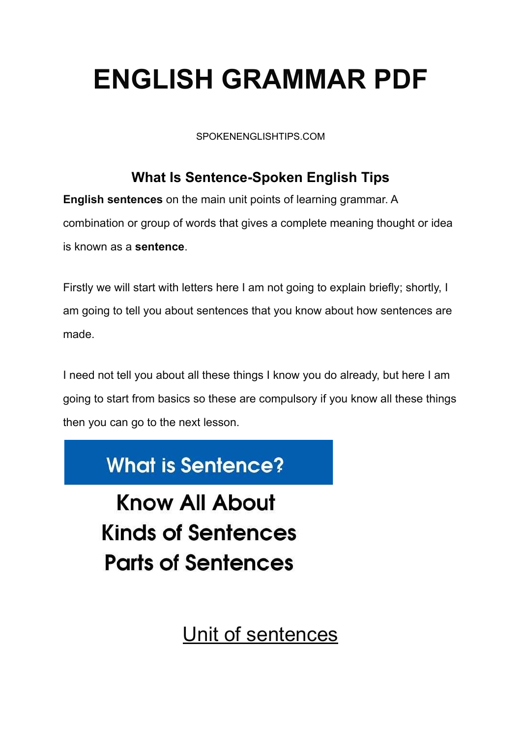# **ENGLISH GRAMMAR PDF**

SPOKENENGLISHTIPS.COM

### **What Is Sentence-Spoken English Tips**

**English sentences** on the main unit points of learning grammar. A combination or group of words that gives a complete meaning thought or idea is known as a **sentence**.

Firstly we will start with letters here I am not going to explain briefly; shortly, I am going to tell you about sentences that you know about how sentences are made.

I need not tell you about all these things I know you do already, but here I am going to start from basics so these are compulsory if you know all these things then you can go to the next lesson.

# **What is Sentence?**

**Know All About Kinds of Sentences Parts of Sentences** 

Unit of sentences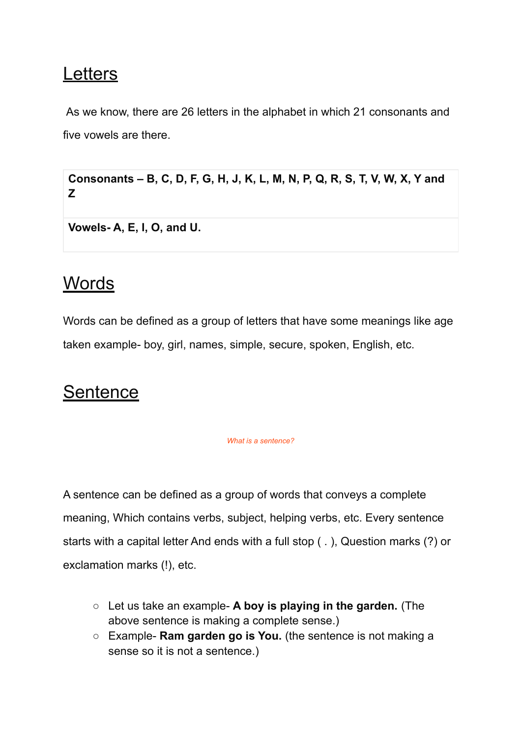### **Letters**

As we know, there are 26 letters in the alphabet in which 21 consonants and five vowels are there.

Consonants – B, C, D, F, G, H, J, K, L, M, N, P, Q, R, S, T, V, W, X, Y and **Z**

**Vowels- A, E, I, O, and U.**

### **Words**

Words can be defined as a group of letters that have some meanings like age taken example- boy, girl, names, simple, secure, spoken, English, etc.

### **Sentence**

*What is a sentence?*

A sentence can be defined as a group of words that conveys a complete meaning, Which contains verbs, subject, helping verbs, etc. Every sentence starts with a capital letter And ends with a full stop ( . ), Question marks (?) or exclamation marks (!), etc.

- Let us take an example- **A boy is playing in the garden.** (The above sentence is making a complete sense.)
- Example- **Ram garden go is You.** (the sentence is not making a sense so it is not a sentence.)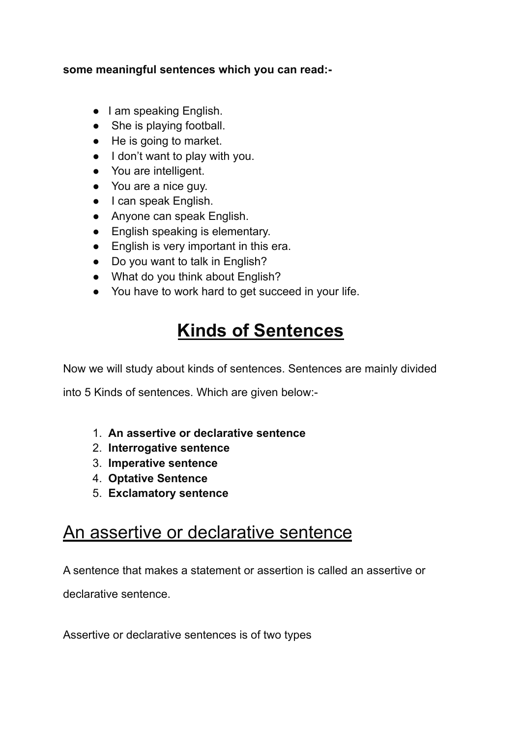#### **some meaningful sentences which you can read:-**

- I am speaking English.
- She is playing football.
- He is going to market.
- I don't want to play with you.
- You are intelligent.
- You are a nice guy.
- I can speak English.
- Anyone can speak English.
- English speaking is elementary.
- English is very important in this era.
- Do you want to talk in English?
- What do you think about English?
- You have to work hard to get succeed in your life.

# **Kinds of Sentences**

Now we will study about kinds of sentences. Sentences are mainly divided

into 5 Kinds of sentences. Which are given below:-

- 1. **An assertive or declarative sentence**
- 2. **Interrogative sentence**
- 3. **Imperative sentence**
- 4. **Optative Sentence**
- 5. **Exclamatory sentence**

### An assertive or declarative sentence

A sentence that makes a statement or assertion is called an assertive or declarative sentence.

Assertive or declarative sentences is of two types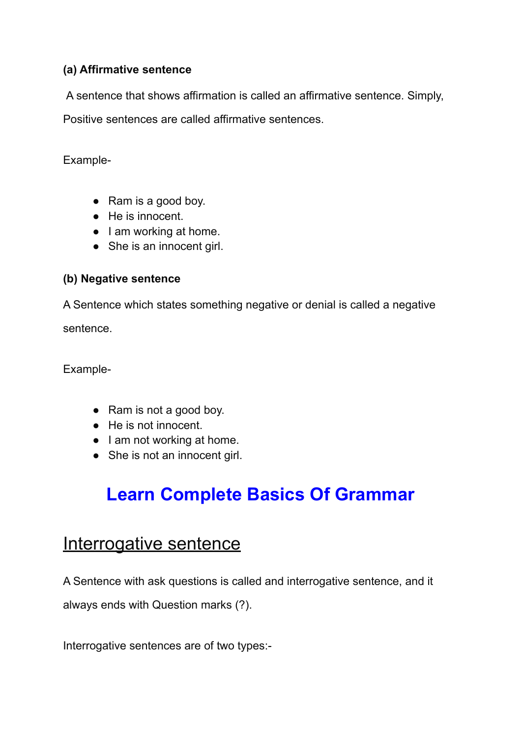#### **(a) Affirmative sentence**

A sentence that shows affirmation is called an affirmative sentence. Simply,

Positive sentences are called affirmative sentences.

Example-

- Ram is a good boy.
- He is innocent.
- I am working at home.
- She is an innocent girl.

#### **(b) Negative sentence**

A Sentence which states something negative or denial is called a negative sentence.

Example-

- Ram is not a good boy.
- He is not innocent.
- I am not working at home.
- She is not an innocent girl.

# **Learn [Complete](https://spokenenglishtips.com/grammar/) Basics Of Grammar**

### Interrogative sentence

A Sentence with ask questions is called and interrogative sentence, and it always ends with Question marks (?).

Interrogative sentences are of two types:-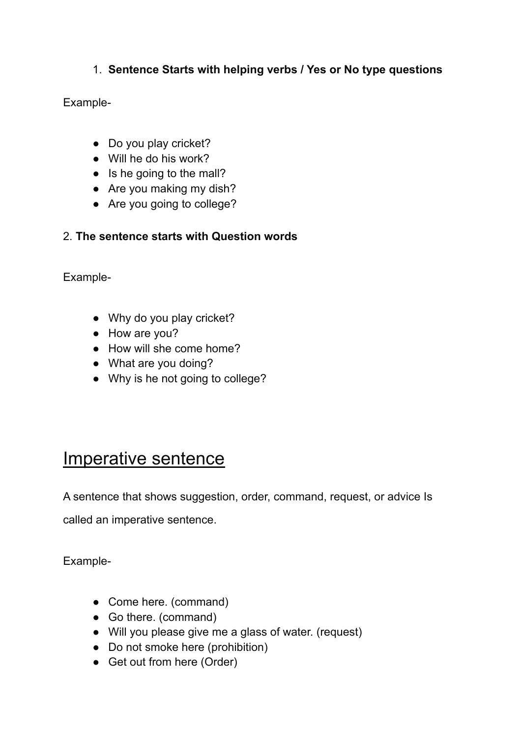#### 1. **Sentence Starts with helping verbs / Yes or No type questions**

Example-

- Do you play cricket?
- Will he do his work?
- Is he going to the mall?
- Are you making my dish?
- Are you going to college?

#### 2. **The sentence starts with Question words**

Example-

- Why do you play cricket?
- How are you?
- How will she come home?
- What are you doing?
- Why is he not going to college?

# Imperative sentence

A sentence that shows suggestion, order, command, request, or advice Is

called an imperative sentence.

Example-

- Come here. (command)
- Go there. (command)
- Will you please give me a glass of water. (request)
- Do not smoke here (prohibition)
- Get out from here (Order)